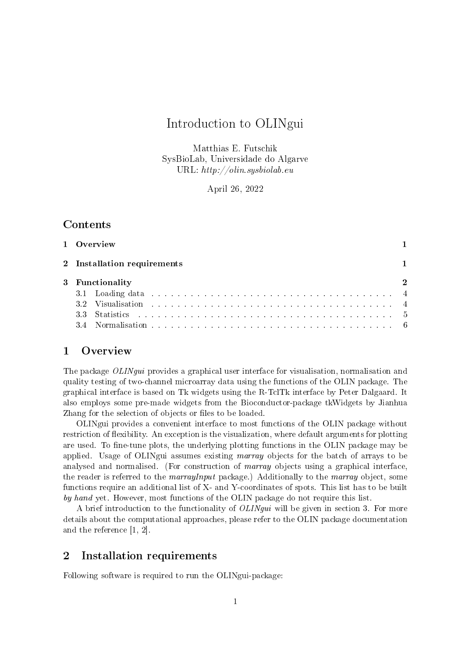# Introduction to OLINgui

Matthias E. Futschik SysBioLab, Universidade do Algarve URL:  $http://olin.sysbiolab.eu$ 

April 26, 2022

## Contents

|                 | 1 Overview                                                                                                                                                                                                                    |             |
|-----------------|-------------------------------------------------------------------------------------------------------------------------------------------------------------------------------------------------------------------------------|-------------|
|                 | 2 Installation requirements                                                                                                                                                                                                   |             |
| 3 Functionality |                                                                                                                                                                                                                               | $\mathbf 2$ |
|                 | 3.1 Loading data responses to the contract of the contract of the contract of the contract of the contract of the contract of the contract of the contract of the contract of the contract of the contract of the contract of |             |
|                 |                                                                                                                                                                                                                               |             |
|                 |                                                                                                                                                                                                                               |             |
|                 |                                                                                                                                                                                                                               |             |

## 1 Overview

The package *OLINqui* provides a graphical user interface for visualisation, normalisation and quality testing of two-channel microarray data using the functions of the OLIN package. The graphical interface is based on Tk widgets using the R-TclTk interface by Peter Dalgaard. It also employs some pre-made widgets from the Bioconductor-package tkWidgets by Jianhua Zhang for the selection of objects or files to be loaded.

OLINgui provides a convenient interface to most functions of the OLIN package without restriction of flexibility. An exception is the visualization, where default arguments for plotting are used. To fine-tune plots, the underlying plotting functions in the OLIN package may be applied. Usage of OLINgui assumes existing marray objects for the batch of arrays to be analysed and normalised. (For construction of *marray* objects using a graphical interface, the reader is referred to the marrayInput package.) Additionally to the marray object, some functions require an additional list of X- and Y-coordinates of spots. This list has to be built by hand yet. However, most functions of the OLIN package do not require this list.

A brief introduction to the functionality of OLINgui will be given in section 3. For more details about the computational approaches, please refer to the OLIN package documentation and the reference [1, 2].

## 2 Installation requirements

Following software is required to run the OLINgui-package: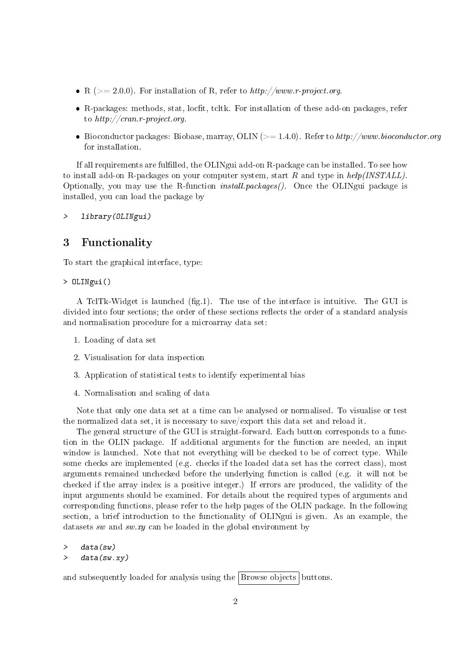- R ( $>= 2.0.0$ ). For installation of R, refer to  $http://www.r-project.org$ .
- R-packages: methods, stat, locfit, tcltk. For installation of these add-on packages, refer to  $http://cran.r-project.org$ .
- Bioconductor packages: Biobase, marray, OLIN ( $>= 1.4.0$ ). Refer to http://www.bioconductor.org for installation.

If all requirements are fulfilled, the OLINgui add-on R-package can be installed. To see how to install add-on R-packages on your computer system, start R and type in  $help/INSTLL)$ . Optionally, you may use the R-function *install.packages()*. Once the OLINgui package is installed, you can load the package by

> library(OLINgui)

### 3 Functionality

To start the graphical interface, type:

> OLINgui()

A TclTk-Widget is launched  $(f, g, 1)$ . The use of the interface is intuitive. The GUI is divided into four sections; the order of these sections reflects the order of a standard analysis and normalisation procedure for a microarray data set:

- 1. Loading of data set
- 2. Visualisation for data inspection
- 3. Application of statistical tests to identify experimental bias
- 4. Normalisation and scaling of data

Note that only one data set at a time can be analysed or normalised. To visualise or test the normalized data set, it is necessary to save/export this data set and reload it.

The general structure of the GUI is straight-forward. Each button corresponds to a function in the OLIN package. If additional arguments for the function are needed, an input window is launched. Note that not everything will be checked to be of correct type. While some checks are implemented (e.g. checks if the loaded data set has the correct class), most arguments remained unchecked before the underlying function is called (e.g. it will not be checked if the array index is a positive integer.) If errors are produced, the validity of the input arguments should be examined. For details about the required types of arguments and corresponding functions, please refer to the help pages of the OLIN package. In the following section, a brief introduction to the functionality of OLINgui is given. As an example, the datasets sw and sw.xy can be loaded in the global environment by

> data(sw) > data(sw.xy)

and subsequently loaded for analysis using the Browse objects buttons.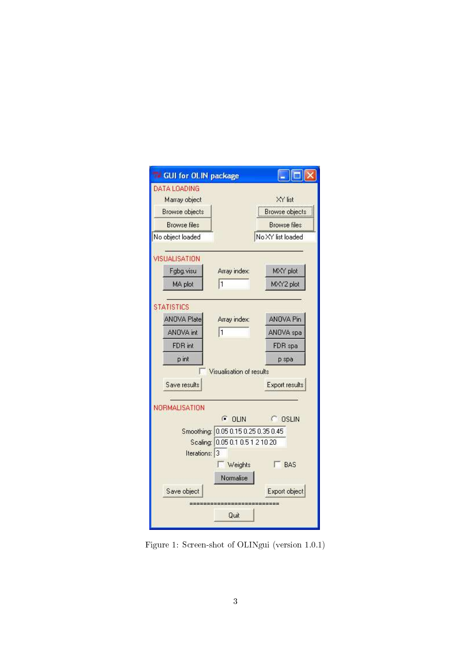

Figure 1: Screen-shot of OLINgui (version 1.0.1)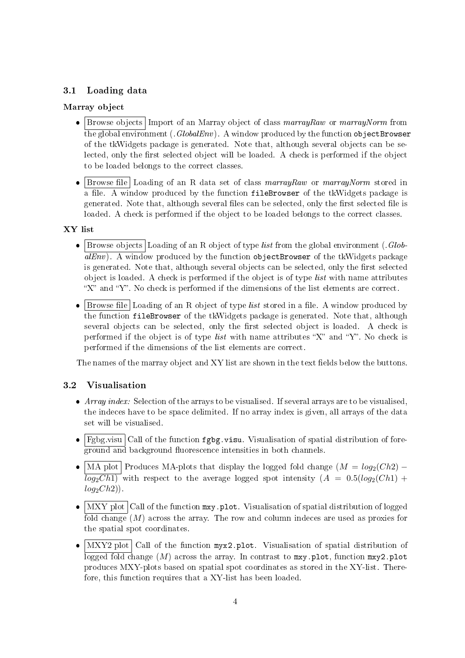### 3.1 Loading data

#### Marray object

- Browse objects Import of an Marray object of class marrayRaw or marrayNorm from the global environment ( $GlobalEnv$ ). A window produced by the function objectBrowser of the tkWidgets package is generated. Note that, although several objects can be selected, only the first selected object will be loaded. A check is performed if the object to be loaded belongs to the correct classes.
- $\bullet$  Browse file Loading of an R data set of class marrayRaw or marrayNorm stored in a file. A window produced by the function fileBrowser of the tkWidgets package is generated. Note that, although several files can be selected, only the first selected file is loaded. A check is performed if the object to be loaded belongs to the correct classes.

#### XY list

- $\bullet$  Browse objects Loading of an R object of type *list* from the global environment (.*Glob*- $\overline{aIEnv}$ ). A window produced by the function objectBrowser of the tkWidgets package is generated. Note that, although several objects can be selected, only the first selected object is loaded. A check is performed if the object is of type list with name attributes " $X$ " and " $Y$ ". No check is performed if the dimensions of the list elements are correct.
- $\bullet$  Browse file Loading of an R object of type *list* stored in a file. A window produced by the function fileBrowser of the tkWidgets package is generated. Note that, although several objects can be selected, only the first selected object is loaded. A check is performed if the object is of type *list* with name attributes "X" and "Y". No check is performed if the dimensions of the list elements are correct.

The names of the marray object and XY list are shown in the text fields below the buttons.

#### 3.2 Visualisation

- $\bullet$  Array index: Selection of the arrays to be visualised. If several arrays are to be visualised, the indeces have to be space delimited. If no array index is given, all arrays of the data set will be visualised.
- $\bullet$   $\boxed{\text{Fgbg.visu}}$  Call of the function  $\texttt{fgbg.visu}$ . Visualisation of spatial distribution of foreground and background fluorescence intensities in both channels.
- $\overline{a}$ MA plot Produces MA-plots that display the logged fold change  $(M = log_2(Ch2) \overline{log_2Ch1)}$  with respect to the average logged spot intensity  $(A = 0.5(log_2(Ch1) +$  $log_2Ch2$ ).
- $\bullet$   $\boxed{\text{MXY}}$  plot  $\boxed{\text{Call}}$  of the function  $\texttt{mxy}.$  plot. Visualisation of spatial distribution of logged fold change (M) across the array. The row and column indeces are used as proxies for the spatial spot coordinates.
- $\bullet$  MXY2 plot Call of the function myx2.plot. Visualisation of spatial distribution of logged fold change  $(M)$  across the array. In contrast to  $mxy$ , plot, function  $mxy2$ , plot produces MXY-plots based on spatial spot coordinates as stored in the XY-list. Therefore, this function requires that a XY-list has been loaded.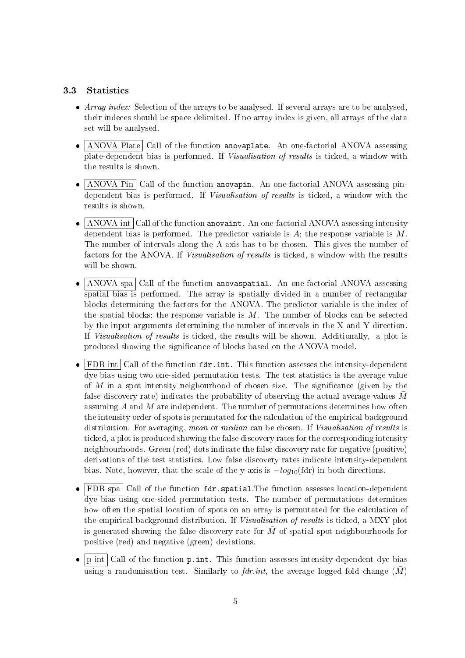#### 3.3 Statistics

- Array index: Selection of the arrays to be analysed. If several arrays are to be analysed, their indeces should be space delimited. If no array index is given, all arrays of the data set will be analysed.
- $\bullet$   $\boxed{\text{ANOVA Plate}}$  Call of the function anovaplate. An one-factorial ANOVA assessing plate-dependent bias is performed. If Visualisation of results is ticked, a window with the results is shown.
- $\bullet$   $\boxed{\text{ANOVA Pin}}$  Call of the function anovapin. An one-factorial ANOVA assessing pindependent bias is performed. If Visualisation of results is ticked, a window with the results is shown.
- $\bullet$   $\boxed{\text{ANOVA}}$  int  $\boxed{\text{Call of the function anovaint.}}$  An one-factorial ANOVA assessing intensitydependent bias is performed. The predictor variable is  $A$ ; the response variable is  $M$ . The number of intervals along the A-axis has to be chosen. This gives the number of factors for the ANOVA. If Visualisation of results is ticked, a window with the results will be shown.
- $\bullet$ ANOVA spa Call of the function anovaspatial. An one-factorial ANOVA assessing spatial bias is performed. The array is spatially divided in a number of rectangular blocks determining the factors for the ANOVA. The predictor variable is the index of the spatial blocks; the response variable is  $M$ . The number of blocks can be selected by the input arguments determining the number of intervals in the X and Y direction. If Visualisation of results is ticked, the results will be shown. Additionally, a plot is produced showing the signicance of blocks based on the ANOVA model.
- $\bullet$  FDR int Call of the function  $fdr.int$ . This function assesses the intensity-dependent dye bias using two one-sided permutation tests. The test statistics is the average value of  $M$  in a spot intensity neighourhood of chosen size. The significance (given by the false discovery rate) indicates the probability of observing the actual average values  $\overline{M}$ assuming  $A$  and  $M$  are independent. The number of permutations determines how often the intensity order of spots is permutated for the calculation of the empirical background distribution. For averaging, mean or median can be chosen. If Visualisation of results is ticked, a plot is produced showing the false discovery rates for the corresponding intensity neighbourhoods. Green (red) dots indicate the false discovery rate for negative (positive) derivations of the test statistics. Low false discovery rates indicate intensity-dependent bias. Note, however, that the scale of the y-axis is  $-log_{10}$ (fdr) in both directions.
- $\overline{a}$  $\sqrt{\text{FDR} \cdot \text{Spa}}$  Call of the function  $\texttt{fdr} \cdot \texttt{spatial}$ . The function assesses location-dependent dye bias using one-sided permutation tests. The number of permutations determines how often the spatial location of spots on an array is permutated for the calculation of the empirical background distribution. If Visualisation of results is ticked, a MXY plot is generated showing the false discovery rate for  $\overline{M}$  of spatial spot neighbourhoods for positive (red) and negative (green) deviations.
- $\bullet$   $\boxed{\text{p}$  int  $\boxed{\text{Call}}$  of the function  $\text{p}.\text{int}$ . This function assesses intensity-dependent dye bias using a randomisation test. Similarly to fdr.int, the average logged fold change  $(\bar{M})$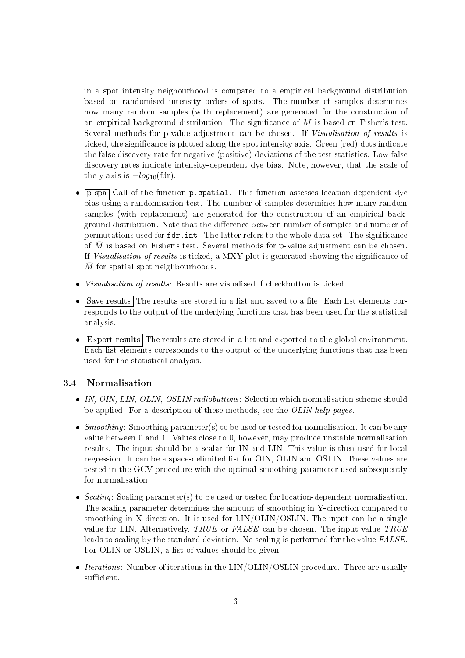in a spot intensity neighourhood is compared to a empirical background distribution based on randomised intensity orders of spots. The number of samples determines how many random samples (with replacement) are generated for the construction of an empirical background distribution. The significance of  $M$  is based on Fisher's test. Several methods for p-value adjustment can be chosen. If Visualisation of results is ticked, the signicance is plotted along the spot intensity axis. Green (red) dots indicate the false discovery rate for negative (positive) deviations of the test statistics. Low false discovery rates indicate intensity-dependent dye bias. Note, however, that the scale of the y-axis is  $-log_{10}(\text{fdr})$ .

- $\bullet$  p spa Call of the function p.spatial. This function assesses location-dependent dye bias using a randomisation test. The number of samples determines how many random samples (with replacement) are generated for the construction of an empirical background distribution. Note that the difference between number of samples and number of permutations used for fdr.int. The latter refers to the whole data set. The signicance of  $\overline{M}$  is based on Fisher's test. Several methods for p-value adjustment can be chosen. If Visualisation of results is ticked, a MXY plot is generated showing the signicance of  $M$  for spatial spot neighbourhoods.
- Visualisation of results: Results are visualised if checkbutton is ticked.
- $\bullet$   $\boxed{\text{Save results}}$  The results are stored in a list and saved to a file. Each list elements corresponds to the output of the underlying functions that has been used for the statistical analysis.
- $\bullet$  Export results The results are stored in a list and exported to the global environment. Each list elements corresponds to the output of the underlying functions that has been used for the statistical analysis.

#### 3.4 Normalisation

- IN, OIN, LIN, OLIN, OSLIN radiobuttons: Selection which normalisation scheme should be applied. For a description of these methods, see the OLIN help pages.
- Smoothing: Smoothing parameter(s) to be used or tested for normalisation. It can be any value between 0 and 1. Values close to 0, however, may produce unstable normalisation results. The input should be a scalar for IN and LIN. This value is then used for local regression. It can be a space-delimited list for OIN, OLIN and OSLIN. These values are tested in the GCV procedure with the optimal smoothing parameter used subsequently for normalisation.
- Scaling: Scaling parameter(s) to be used or tested for location-dependent normalisation. The scaling parameter determines the amount of smoothing in Y-direction compared to smoothing in X-direction. It is used for LIN/OLIN/OSLIN. The input can be a single value for LIN. Alternatively, TRUE or FALSE can be chosen. The input value TRUE leads to scaling by the standard deviation. No scaling is performed for the value FALSE. For OLIN or OSLIN, a list of values should be given.
- $\bullet$  *Iterations*: Number of iterations in the LIN/OLIN/OSLIN procedure. Three are usually sufficient.